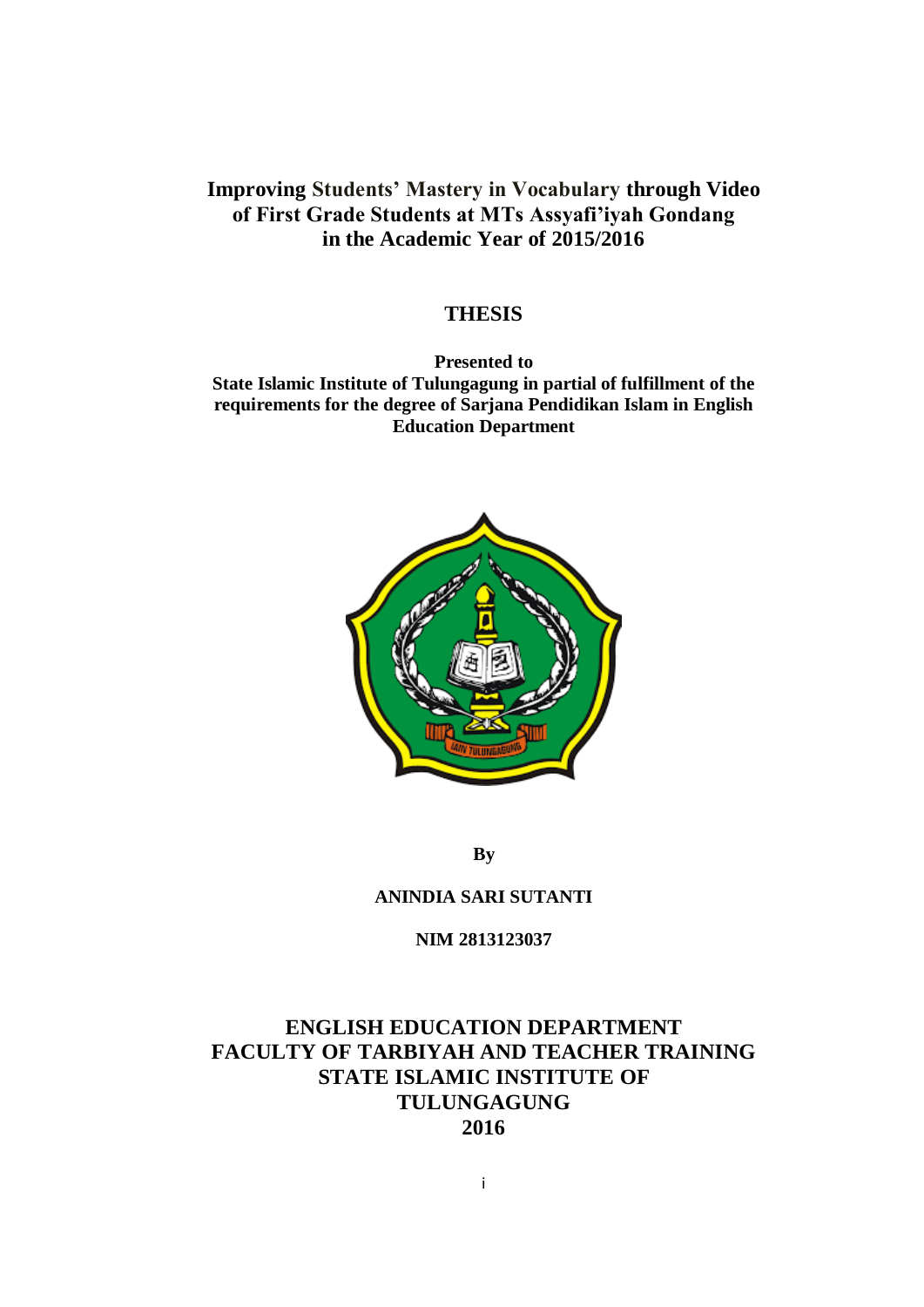# **Improving Students' Mastery in Vocabulary through Video of First Grade Students at MTs Assyafi'iyah Gondang in the Academic Year of 2015/2016**

#### **THESIS**

**Presented to State Islamic Institute of Tulungagung in partial of fulfillment of the requirements for the degree of Sarjana Pendidikan Islam in English Education Department**



**By**

#### **ANINDIA SARI SUTANTI**

**NIM 2813123037**

# **ENGLISH EDUCATION DEPARTMENT FACULTY OF TARBIYAH AND TEACHER TRAINING STATE ISLAMIC INSTITUTE OF TULUNGAGUNG 2016**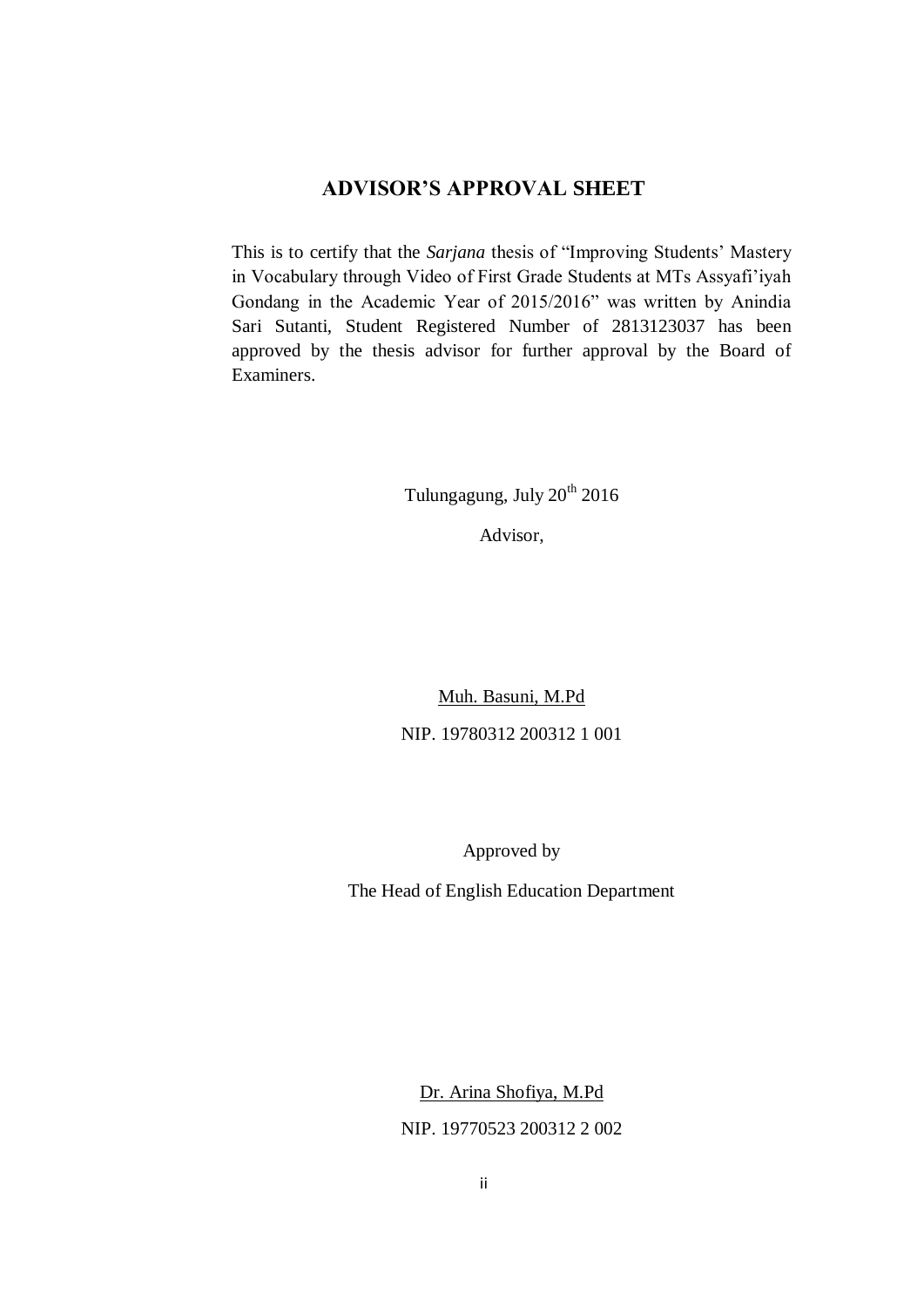## **ADVISOR'S APPROVAL SHEET**

This is to certify that the *Sarjana* thesis of "Improving Students' Mastery in Vocabulary through Video of First Grade Students at MTs Assyafi'iyah Gondang in the Academic Year of 2015/2016" was written by Anindia Sari Sutanti, Student Registered Number of 2813123037 has been approved by the thesis advisor for further approval by the Board of Examiners.

Tulungagung, July  $20^{th}$   $2016$ 

Advisor,

Muh. Basuni, M.Pd NIP. 19780312 200312 1 001

Approved by

The Head of English Education Department

Dr. Arina Shofiya, M.Pd NIP. 19770523 200312 2 002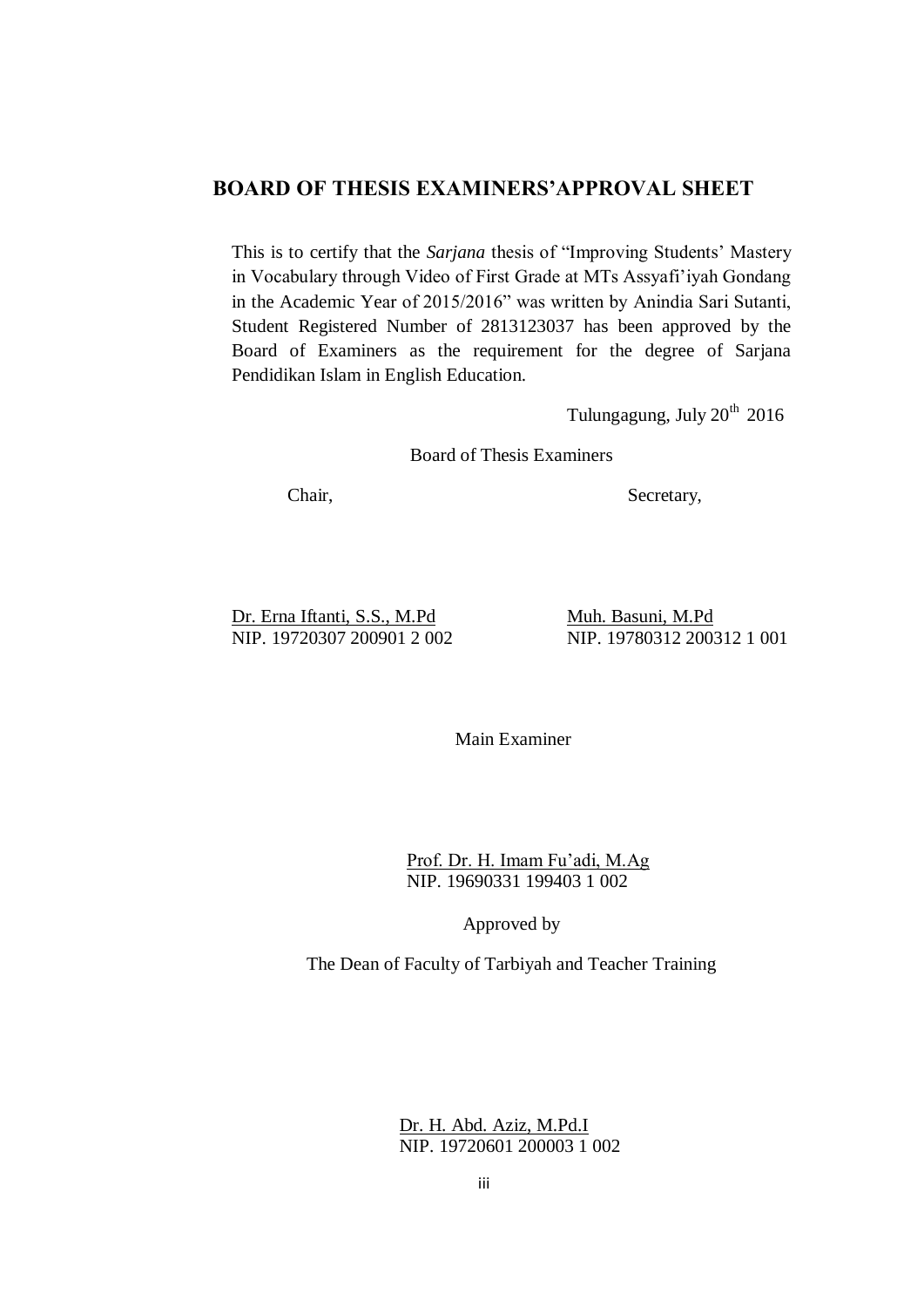## **BOARD OF THESIS EXAMINERS'APPROVAL SHEET**

This is to certify that the *Sarjana* thesis of "Improving Students' Mastery in Vocabulary through Video of First Grade at MTs Assyafi'iyah Gondang in the Academic Year of 2015/2016" was written by Anindia Sari Sutanti, Student Registered Number of 2813123037 has been approved by the Board of Examiners as the requirement for the degree of Sarjana Pendidikan Islam in English Education.

Tulungagung, July  $20<sup>th</sup>$  2016

Board of Thesis Examiners

Chair, Secretary,

Dr. Erna Iftanti, S.S., M.Pd Muh. Basuni, M.Pd NIP. 19720307 200901 2 002 NIP. 19780312 200312 1 001

Main Examiner

Prof. Dr. H. Imam Fu'adi, M.Ag NIP. 19690331 199403 1 002

Approved by

The Dean of Faculty of Tarbiyah and Teacher Training

Dr. H. Abd. Aziz, M.Pd.I NIP. 19720601 200003 1 002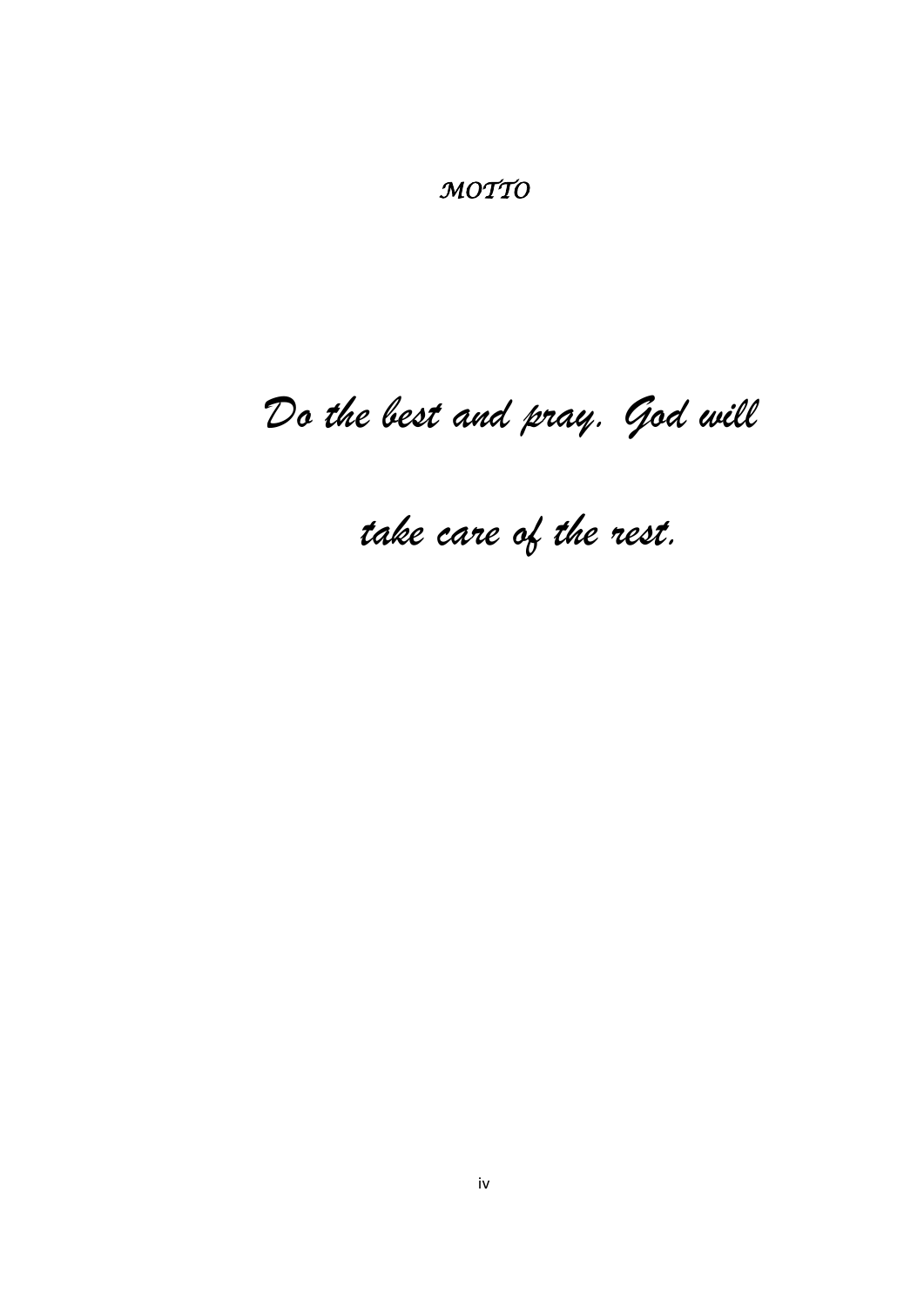*MOTTO* 

# *Do the best and pray. God will*

# *take care of the rest.*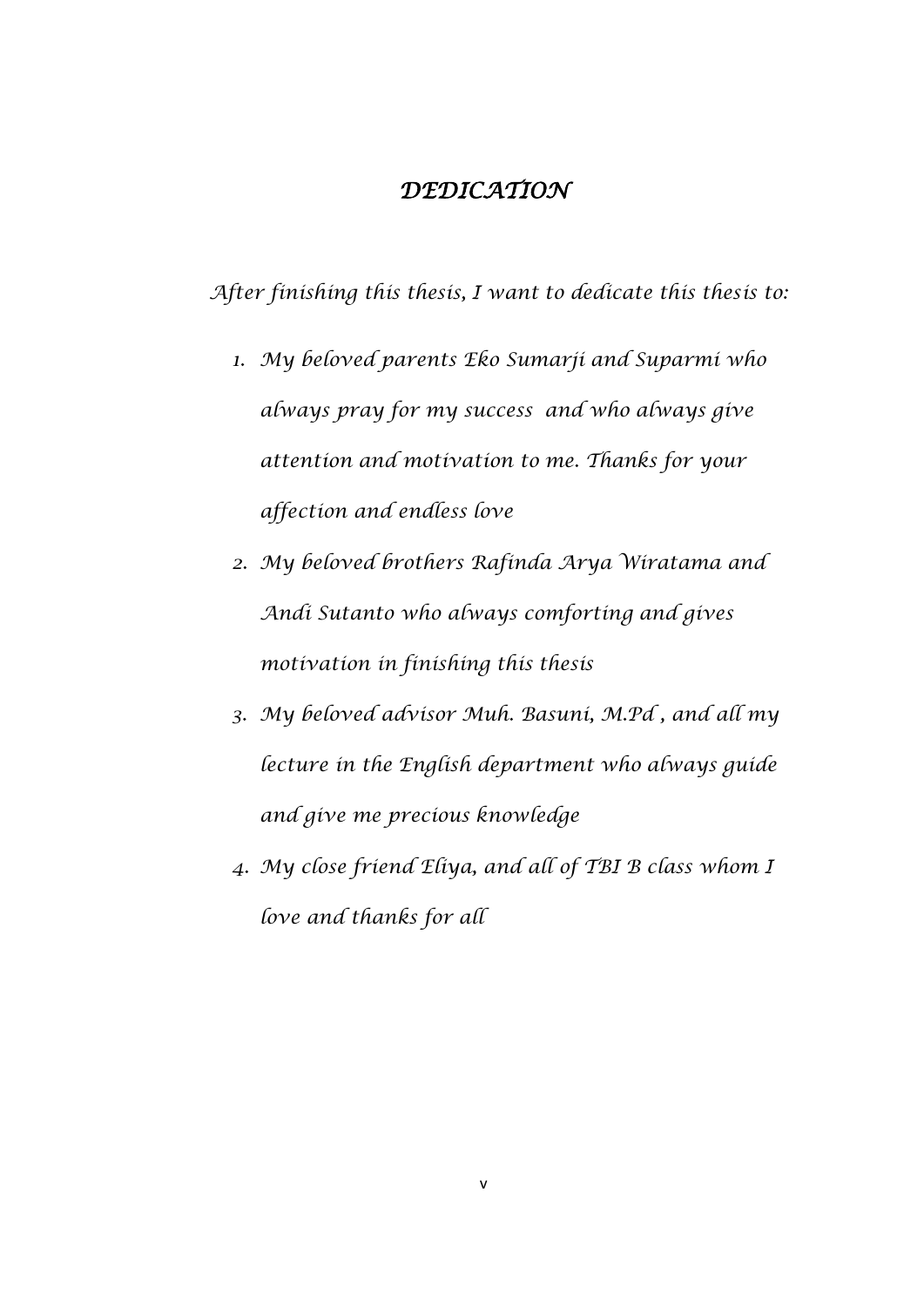# *DEDICATION*

*After finishing this thesis, I want to dedicate this thesis to:*

- *1. My beloved parents Eko Sumarji and Suparmi who always pray for my success and who always give attention and motivation to me. Thanks for your affection and endless love*
- *2. My beloved brothers Rafinda Arya Wiratama and Andi Sutanto who always comforting and gives motivation in finishing this thesis*
- *3. My beloved advisor Muh. Basuni, M.Pd , and all my lecture in the English department who always guide and give me precious knowledge*
- *4. My close friend Eliya, and all of TBI B class whom I love and thanks for all*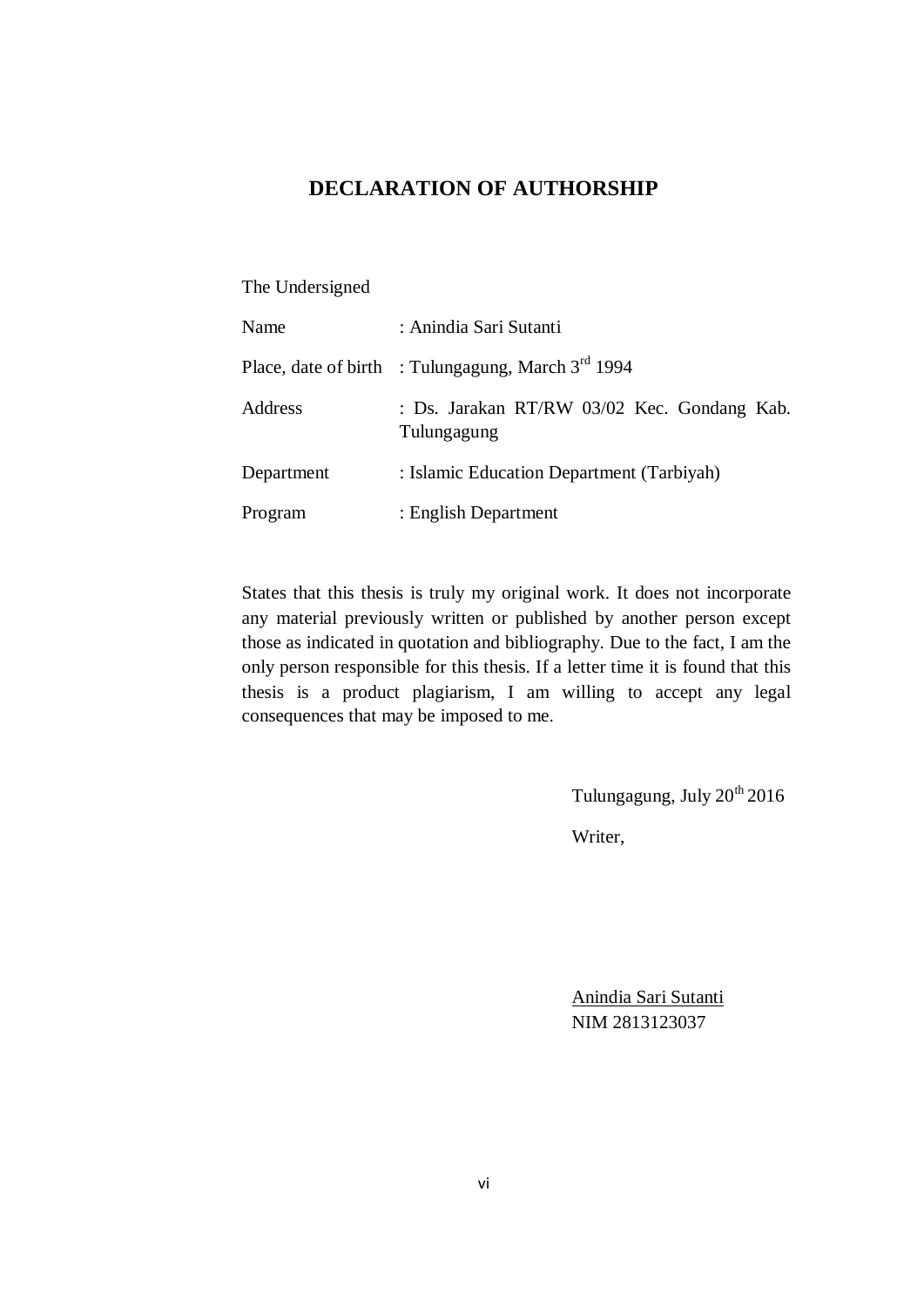## **DECLARATION OF AUTHORSHIP**

#### The Undersigned

| Name       | : Anindia Sari Sutanti                                     |
|------------|------------------------------------------------------------|
|            | Place, date of birth : Tulungagung, March $3^{rd}$ 1994    |
| Address    | : Ds. Jarakan RT/RW 03/02 Kec. Gondang Kab.<br>Tulungagung |
| Department | : Islamic Education Department (Tarbiyah)                  |
| Program    | : English Department                                       |

States that this thesis is truly my original work. It does not incorporate any material previously written or published by another person except those as indicated in quotation and bibliography. Due to the fact, I am the only person responsible for this thesis. If a letter time it is found that this thesis is a product plagiarism, I am willing to accept any legal consequences that may be imposed to me.

Tulungagung, July  $20^{th}$   $2016$ 

Writer,

Anindia Sari Sutanti NIM 2813123037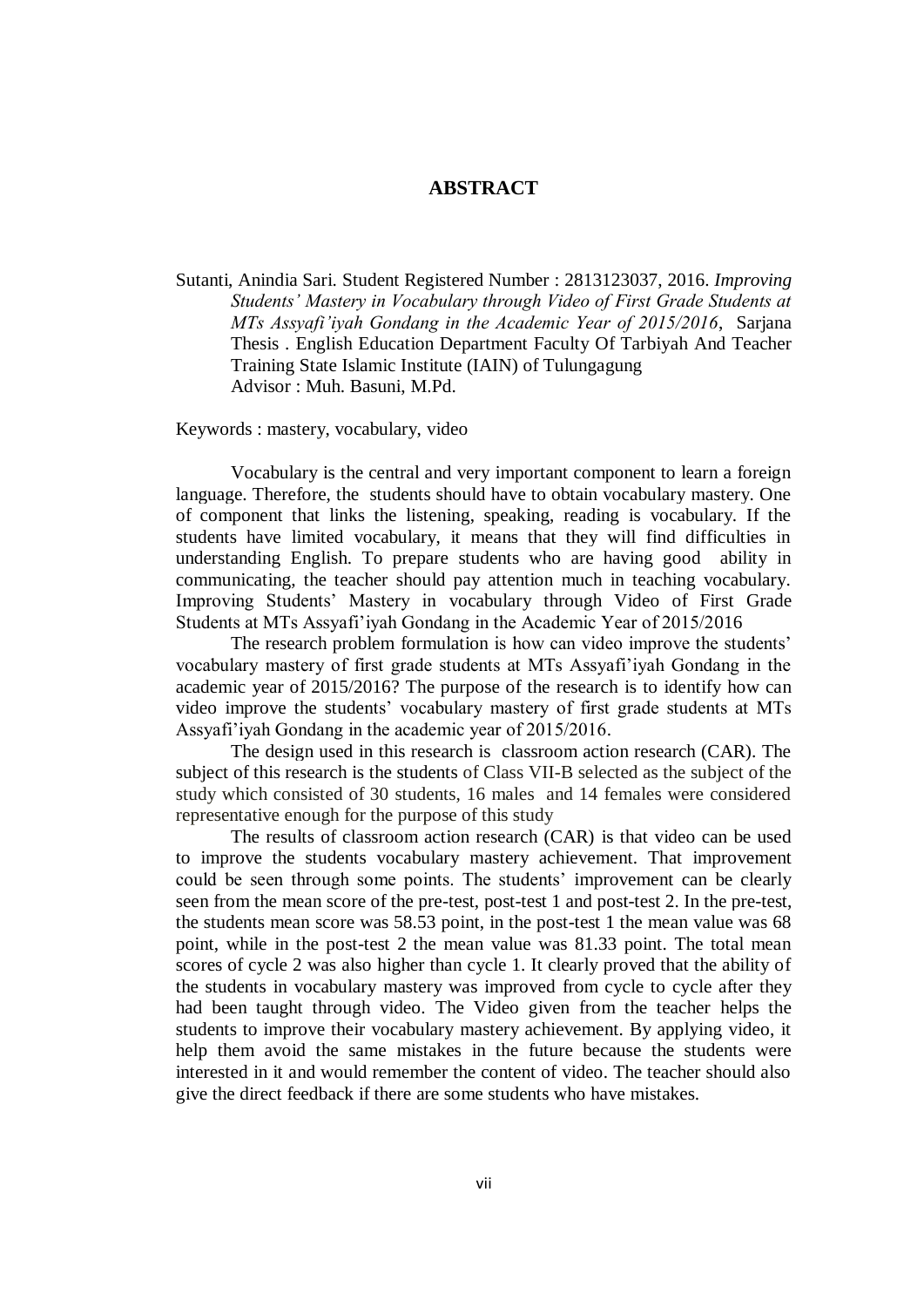#### **ABSTRACT**

Sutanti, Anindia Sari. Student Registered Number : 2813123037, 2016. *Improving Students' Mastery in Vocabulary through Video of First Grade Students at MTs Assyafi'iyah Gondang in the Academic Year of 2015/2016*, Sarjana Thesis . English Education Department Faculty Of Tarbiyah And Teacher Training State Islamic Institute (IAIN) of Tulungagung Advisor : Muh. Basuni, M.Pd.

Keywords : mastery, vocabulary, video

Vocabulary is the central and very important component to learn a foreign language. Therefore, the students should have to obtain vocabulary mastery. One of component that links the listening, speaking, reading is vocabulary. If the students have limited vocabulary, it means that they will find difficulties in understanding English. To prepare students who are having good ability in communicating, the teacher should pay attention much in teaching vocabulary. Improving Students' Mastery in vocabulary through Video of First Grade Students at MTs Assyafi'iyah Gondang in the Academic Year of 2015/2016

The research problem formulation is how can video improve the students' vocabulary mastery of first grade students at MTs Assyafi'iyah Gondang in the academic year of 2015/2016? The purpose of the research is to identify how can video improve the students' vocabulary mastery of first grade students at MTs Assyafi'iyah Gondang in the academic year of 2015/2016.

The design used in this research is classroom action research (CAR). The subject of this research is the students of Class VII-B selected as the subject of the study which consisted of 30 students, 16 males and 14 females were considered representative enough for the purpose of this study

The results of classroom action research (CAR) is that video can be used to improve the students vocabulary mastery achievement. That improvement could be seen through some points. The students' improvement can be clearly seen from the mean score of the pre-test, post-test 1 and post-test 2. In the pre-test, the students mean score was 58.53 point, in the post-test 1 the mean value was 68 point, while in the post-test 2 the mean value was 81.33 point. The total mean scores of cycle 2 was also higher than cycle 1. It clearly proved that the ability of the students in vocabulary mastery was improved from cycle to cycle after they had been taught through video. The Video given from the teacher helps the students to improve their vocabulary mastery achievement. By applying video, it help them avoid the same mistakes in the future because the students were interested in it and would remember the content of video. The teacher should also give the direct feedback if there are some students who have mistakes.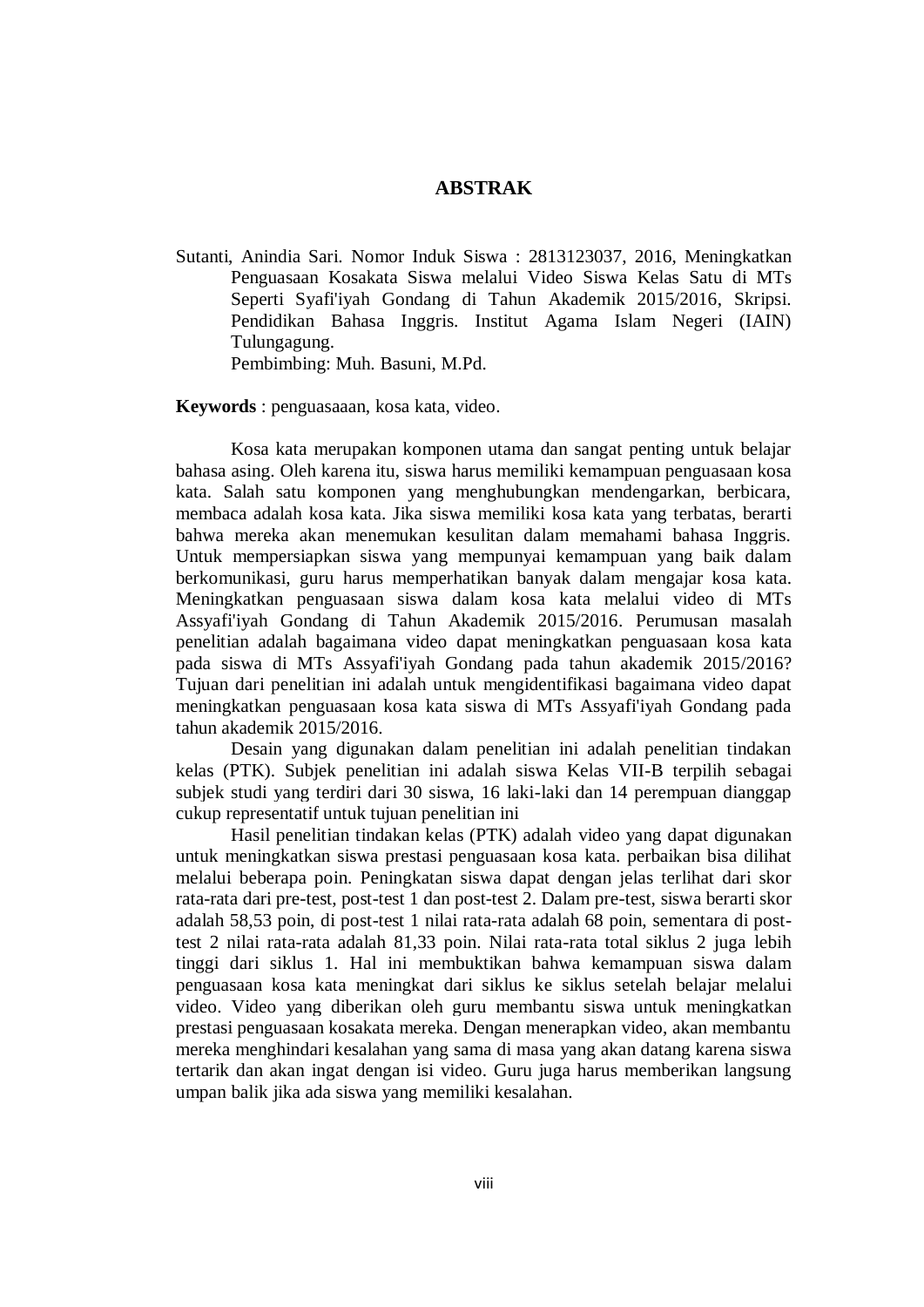#### **ABSTRAK**

Sutanti, Anindia Sari. Nomor Induk Siswa : 2813123037, 2016, Meningkatkan Penguasaan Kosakata Siswa melalui Video Siswa Kelas Satu di MTs Seperti Syafi'iyah Gondang di Tahun Akademik 2015/2016, Skripsi. Pendidikan Bahasa Inggris. Institut Agama Islam Negeri (IAIN) Tulungagung.

Pembimbing: Muh. Basuni, M.Pd.

**Keywords** : penguasaaan, kosa kata, video.

Kosa kata merupakan komponen utama dan sangat penting untuk belajar bahasa asing. Oleh karena itu, siswa harus memiliki kemampuan penguasaan kosa kata. Salah satu komponen yang menghubungkan mendengarkan, berbicara, membaca adalah kosa kata. Jika siswa memiliki kosa kata yang terbatas, berarti bahwa mereka akan menemukan kesulitan dalam memahami bahasa Inggris. Untuk mempersiapkan siswa yang mempunyai kemampuan yang baik dalam berkomunikasi, guru harus memperhatikan banyak dalam mengajar kosa kata. Meningkatkan penguasaan siswa dalam kosa kata melalui video di MTs Assyafi'iyah Gondang di Tahun Akademik 2015/2016. Perumusan masalah penelitian adalah bagaimana video dapat meningkatkan penguasaan kosa kata pada siswa di MTs Assyafi'iyah Gondang pada tahun akademik 2015/2016? Tujuan dari penelitian ini adalah untuk mengidentifikasi bagaimana video dapat meningkatkan penguasaan kosa kata siswa di MTs Assyafi'iyah Gondang pada tahun akademik 2015/2016.

Desain yang digunakan dalam penelitian ini adalah penelitian tindakan kelas (PTK). Subjek penelitian ini adalah siswa Kelas VII-B terpilih sebagai subjek studi yang terdiri dari 30 siswa, 16 laki-laki dan 14 perempuan dianggap cukup representatif untuk tujuan penelitian ini

Hasil penelitian tindakan kelas (PTK) adalah video yang dapat digunakan untuk meningkatkan siswa prestasi penguasaan kosa kata. perbaikan bisa dilihat melalui beberapa poin. Peningkatan siswa dapat dengan jelas terlihat dari skor rata-rata dari pre-test, post-test 1 dan post-test 2. Dalam pre-test, siswa berarti skor adalah 58,53 poin, di post-test 1 nilai rata-rata adalah 68 poin, sementara di posttest 2 nilai rata-rata adalah 81,33 poin. Nilai rata-rata total siklus 2 juga lebih tinggi dari siklus 1. Hal ini membuktikan bahwa kemampuan siswa dalam penguasaan kosa kata meningkat dari siklus ke siklus setelah belajar melalui video. Video yang diberikan oleh guru membantu siswa untuk meningkatkan prestasi penguasaan kosakata mereka. Dengan menerapkan video, akan membantu mereka menghindari kesalahan yang sama di masa yang akan datang karena siswa tertarik dan akan ingat dengan isi video. Guru juga harus memberikan langsung umpan balik jika ada siswa yang memiliki kesalahan.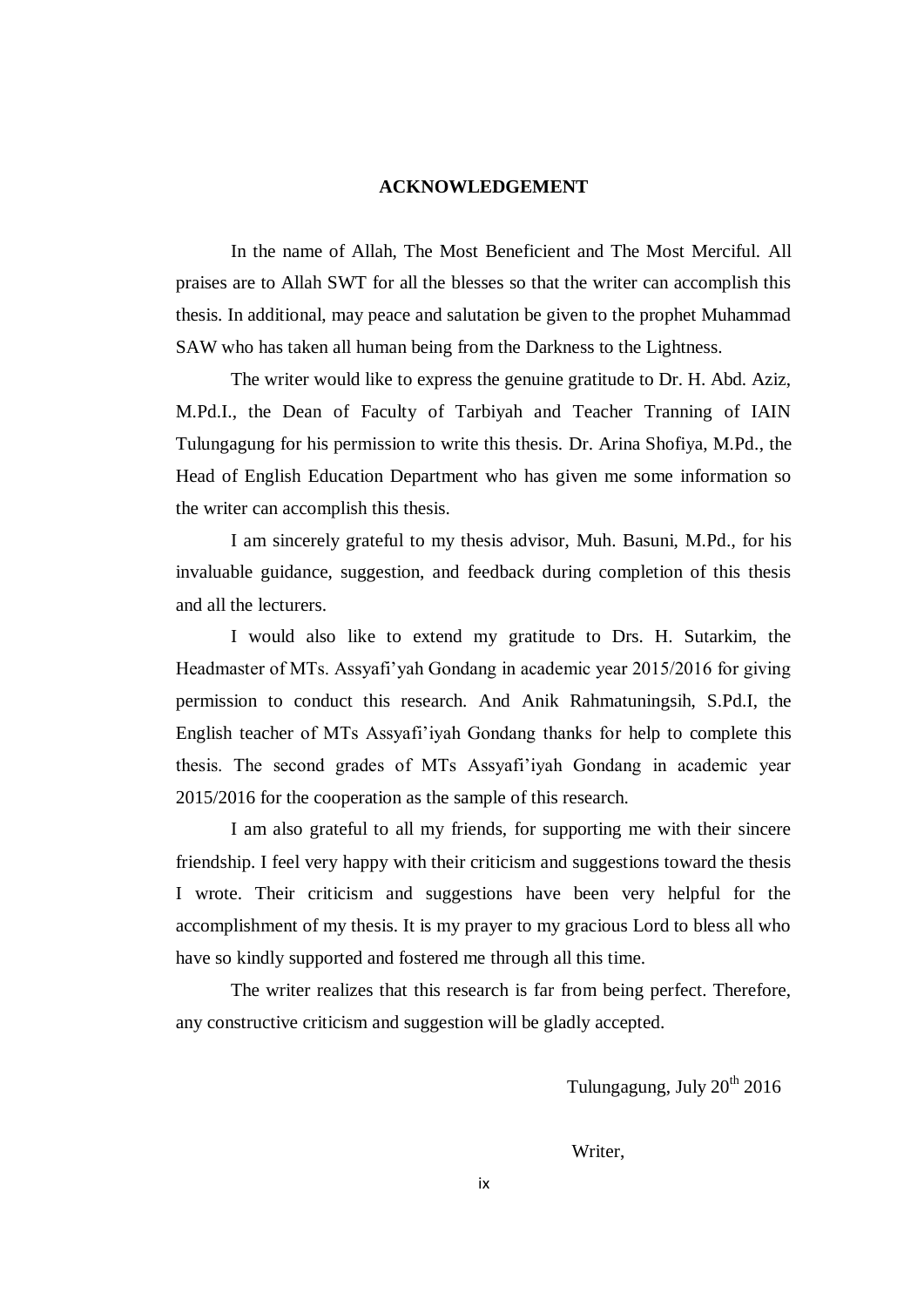#### **ACKNOWLEDGEMENT**

In the name of Allah, The Most Beneficient and The Most Merciful. All praises are to Allah SWT for all the blesses so that the writer can accomplish this thesis. In additional, may peace and salutation be given to the prophet Muhammad SAW who has taken all human being from the Darkness to the Lightness.

The writer would like to express the genuine gratitude to Dr. H. Abd. Aziz, M.Pd.I., the Dean of Faculty of Tarbiyah and Teacher Tranning of IAIN Tulungagung for his permission to write this thesis. Dr. Arina Shofiya, M.Pd., the Head of English Education Department who has given me some information so the writer can accomplish this thesis.

I am sincerely grateful to my thesis advisor, Muh. Basuni, M.Pd., for his invaluable guidance, suggestion, and feedback during completion of this thesis and all the lecturers.

I would also like to extend my gratitude to Drs. H. Sutarkim, the Headmaster of MTs. Assyafi'yah Gondang in academic year 2015/2016 for giving permission to conduct this research. And Anik Rahmatuningsih, S.Pd.I, the English teacher of MTs Assyafi'iyah Gondang thanks for help to complete this thesis. The second grades of MTs Assyafi'iyah Gondang in academic year 2015/2016 for the cooperation as the sample of this research.

I am also grateful to all my friends, for supporting me with their sincere friendship. I feel very happy with their criticism and suggestions toward the thesis I wrote. Their criticism and suggestions have been very helpful for the accomplishment of my thesis. It is my prayer to my gracious Lord to bless all who have so kindly supported and fostered me through all this time.

The writer realizes that this research is far from being perfect. Therefore, any constructive criticism and suggestion will be gladly accepted.

Tulungagung, July  $20^{th}$   $2016$ 

Writer,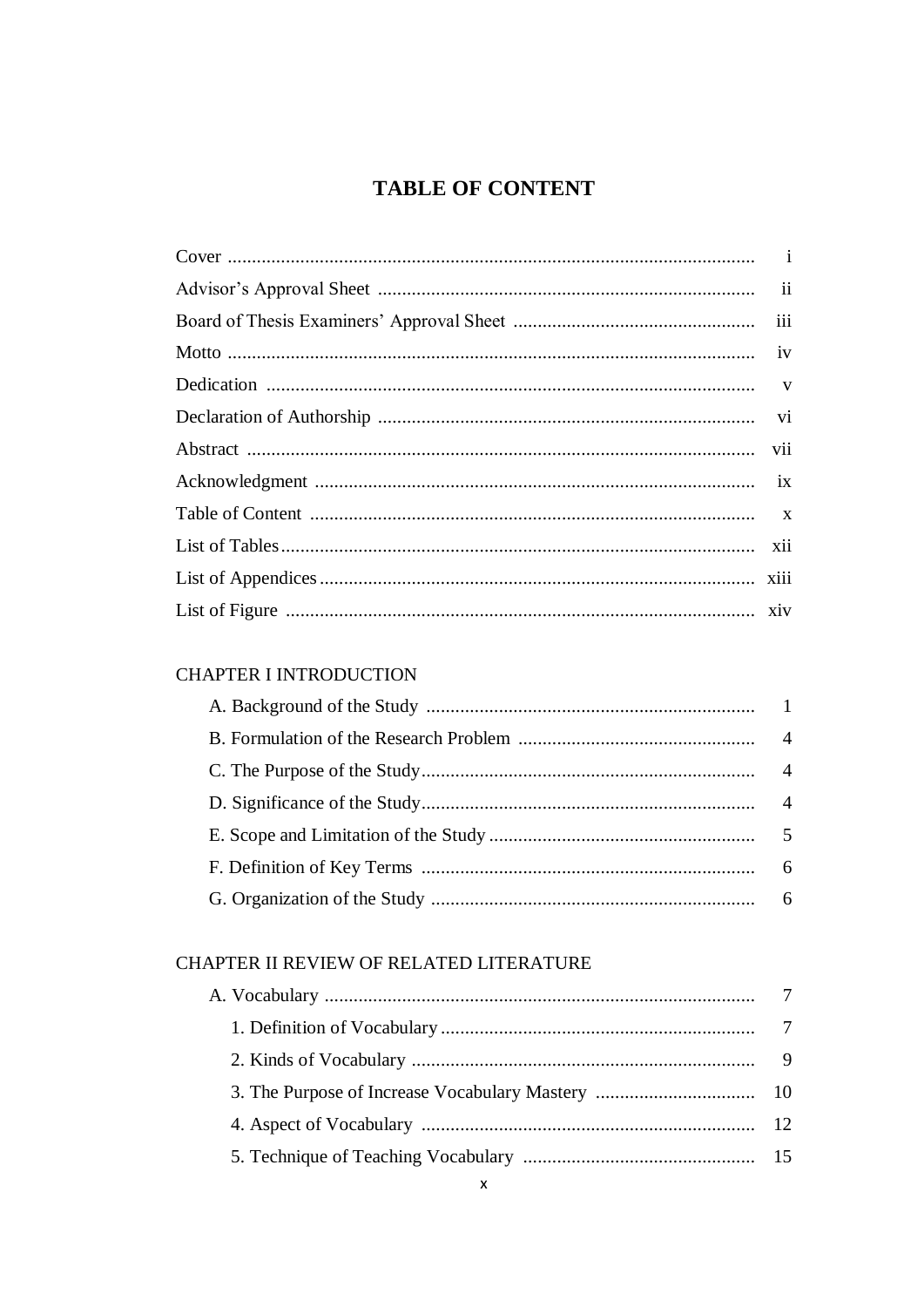# **TABLE OF CONTENT**

## **CHAPTER I INTRODUCTION**

# CHAPTER II REVIEW OF RELATED LITERATURE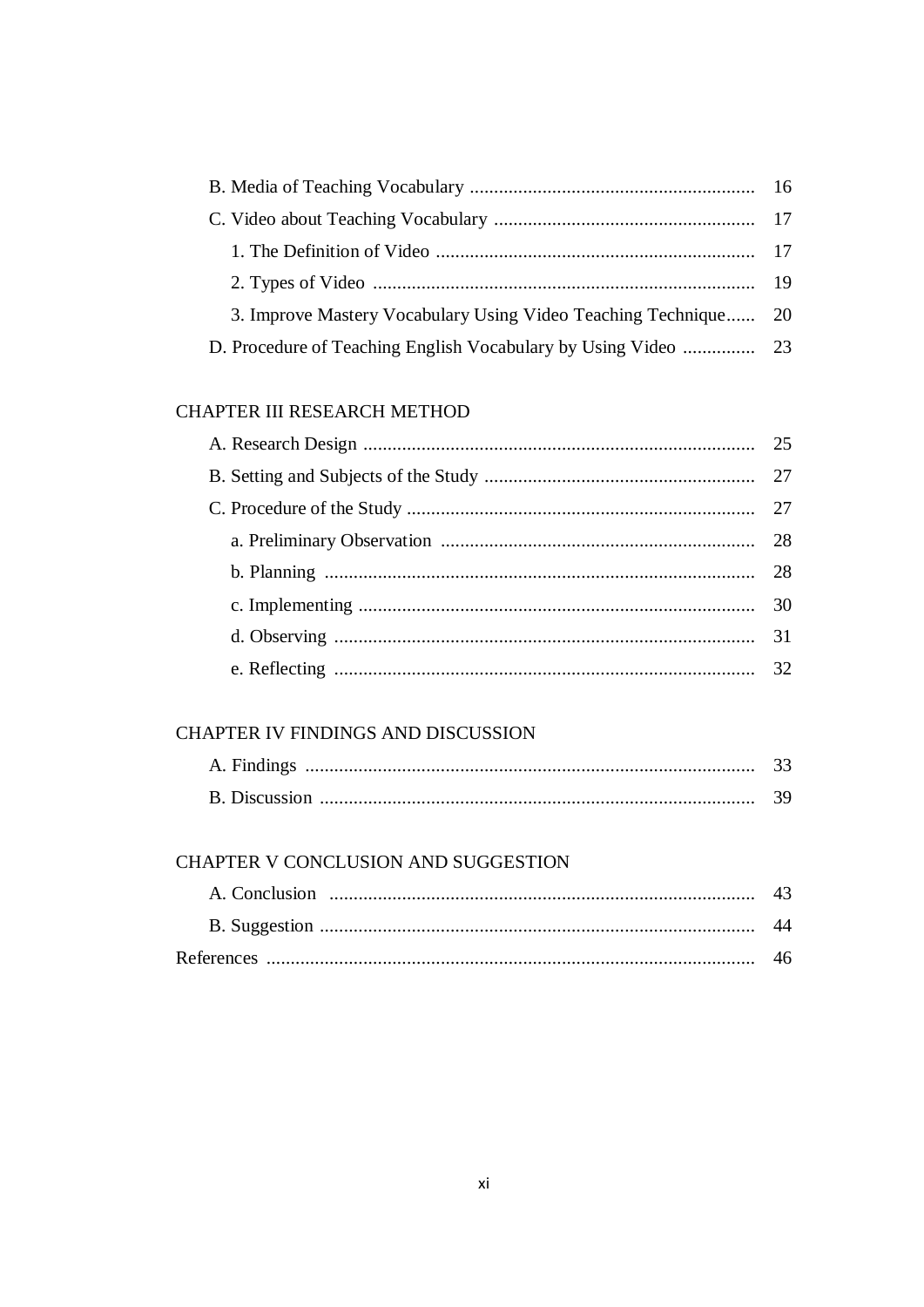| 3. Improve Mastery Vocabulary Using Video Teaching Technique 20 |
|-----------------------------------------------------------------|
|                                                                 |
|                                                                 |

## CHAPTER III RESEARCH METHOD

## CHAPTER IV FINDINGS AND DISCUSSION

| A. Findings          |  |
|----------------------|--|
| <b>B.</b> Discussion |  |

## CHAPTER V CONCLUSION AND SUGGESTION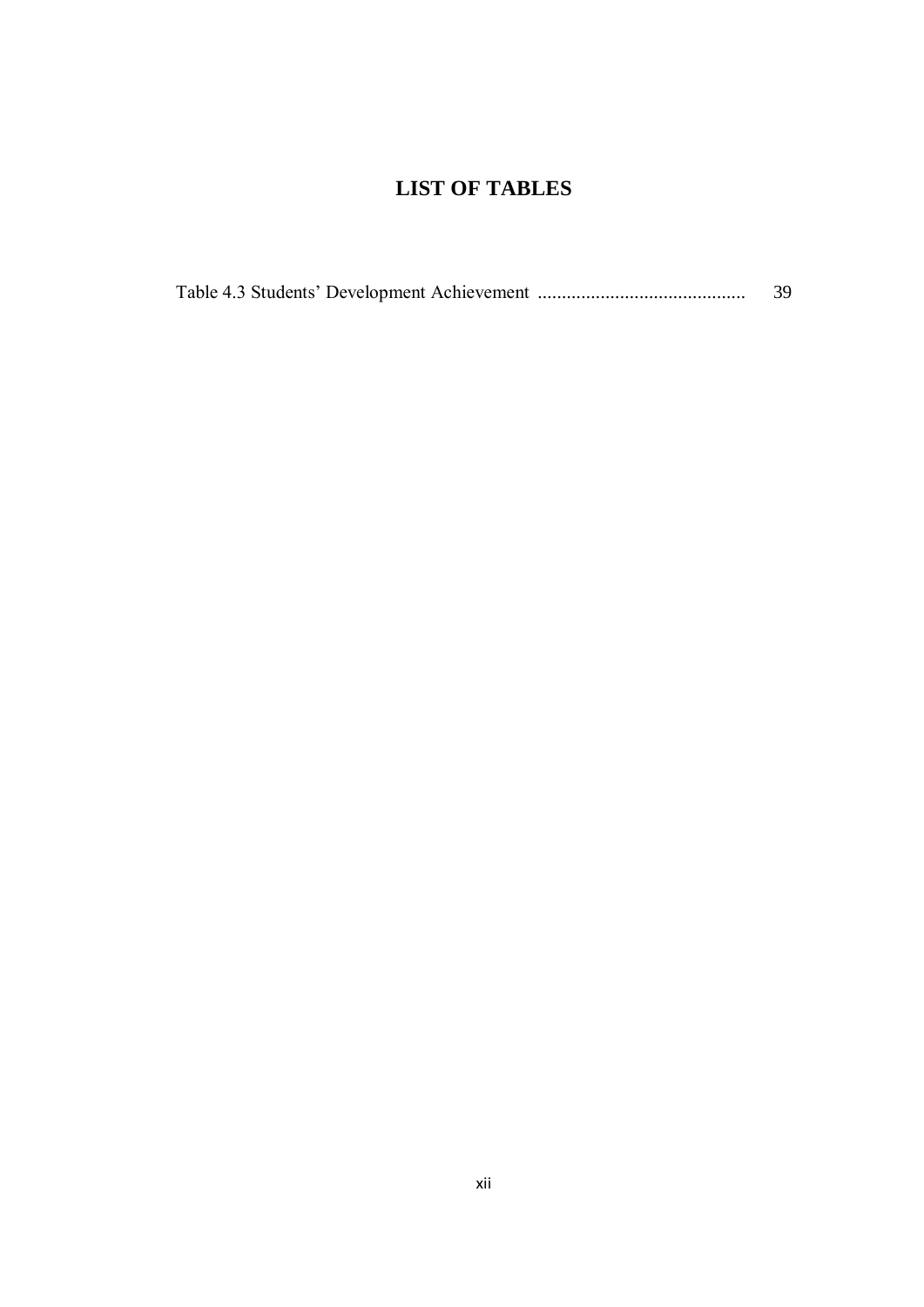# **LIST OF TABLES**

|  | 39 |
|--|----|
|  |    |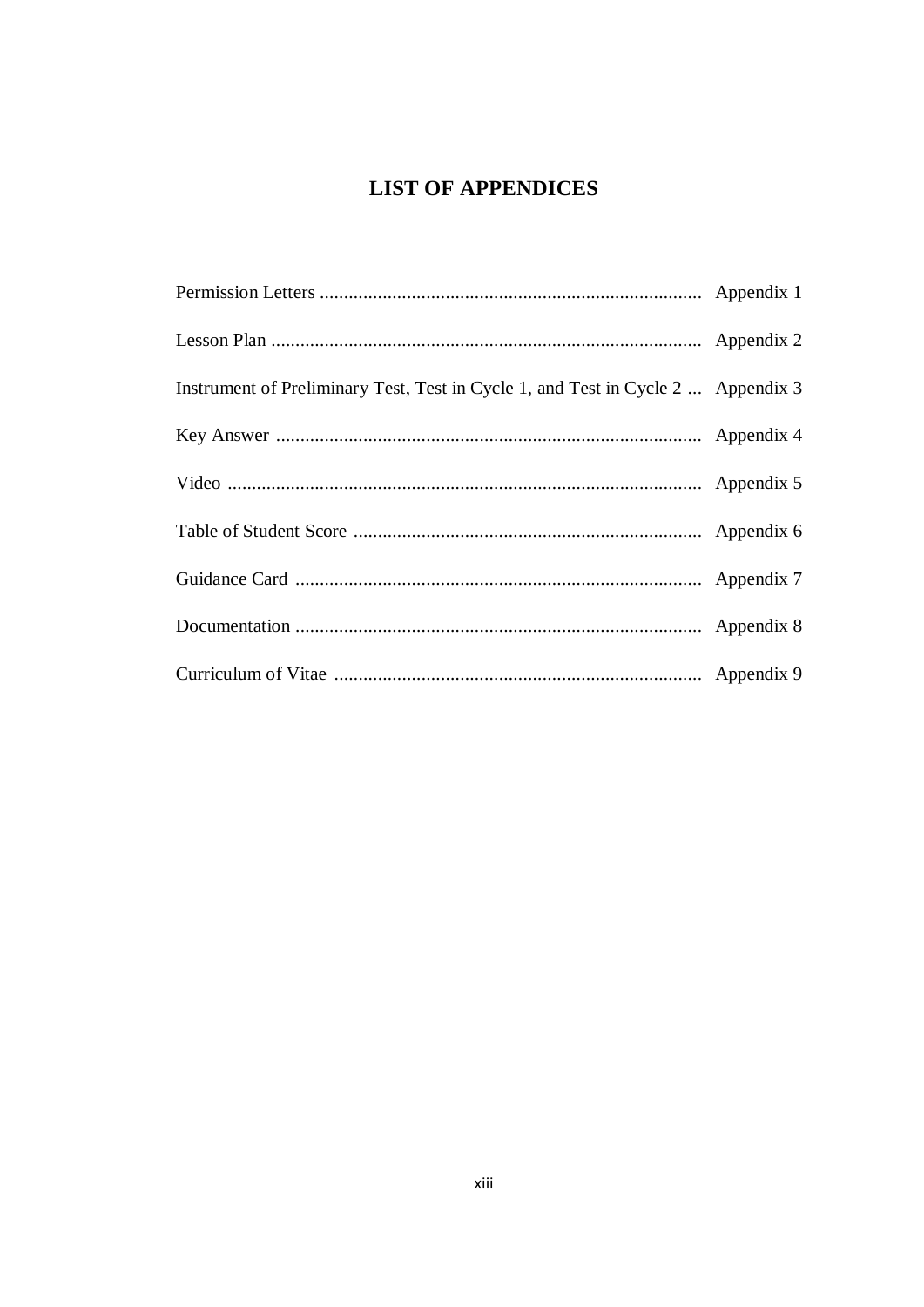# **LIST OF APPENDICES**

| Instrument of Preliminary Test, Test in Cycle 1, and Test in Cycle 2  Appendix 3 |  |
|----------------------------------------------------------------------------------|--|
|                                                                                  |  |
|                                                                                  |  |
|                                                                                  |  |
|                                                                                  |  |
|                                                                                  |  |
|                                                                                  |  |